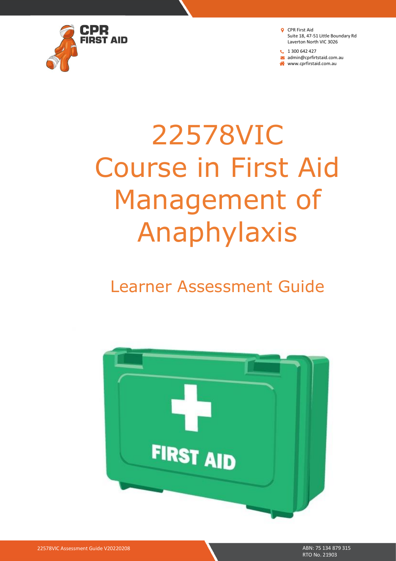

**t** 1 300 642 427 admin@cprfirtstaid.com.au www.cprfirstaid.com.au

# 22578VIC Course in First Aid Management of Anaphylaxis

# Learner Assessment Guide

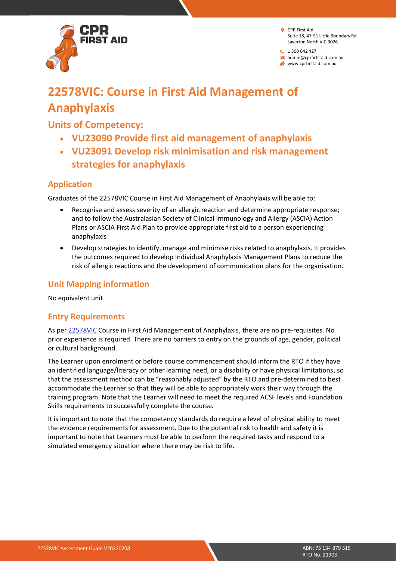

 $1300642427$ 

admin@cprfirtstaid.com.au www.cprfirstaid.com.au

# **22578VIC: Course in First Aid Management of Anaphylaxis**

# **Units of Competency:**

- **VU23090 Provide first aid management of anaphylaxis**
- **VU23091 Develop risk minimisation and risk management strategies for anaphylaxis**

# **Application**

Graduates of the 22578VIC Course in First Aid Management of Anaphylaxis will be able to:

- Recognise and assess severity of an allergic reaction and determine appropriate response; and to follow the Australasian Society of Clinical Immunology and Allergy (ASCIA) Action Plans or ASCIA First Aid Plan to provide appropriate first aid to a person experiencing anaphylaxis
- Develop strategies to identify, manage and minimise risks related to anaphylaxis. It provides the outcomes required to develop Individual Anaphylaxis Management Plans to reduce the risk of allergic reactions and the development of communication plans for the organisation.

# **Unit Mapping information**

No equivalent unit.

# **Entry Requirements**

As per [22578VIC](http://training.gov.au/Training/Details/22578VIC) Course in First Aid Management of Anaphylaxis, there are no pre-requisites. No prior experience is required. There are no barriers to entry on the grounds of age, gender, political or cultural background.

The Learner upon enrolment or before course commencement should inform the RTO if they have an identified language/literacy or other learning need, or a disability or have physical limitations, so that the assessment method can be "reasonably adjusted" by the RTO and pre-determined to best accommodate the Learner so that they will be able to appropriately work their way through the training program. Note that the Learner will need to meet the required ACSF levels and Foundation Skills requirements to successfully complete the course.

It is important to note that the competency standards do require a level of physical ability to meet the evidence requirements for assessment. Due to the potential risk to health and safety it is important to note that Learners must be able to perform the required tasks and respond to a simulated emergency situation where there may be risk to life.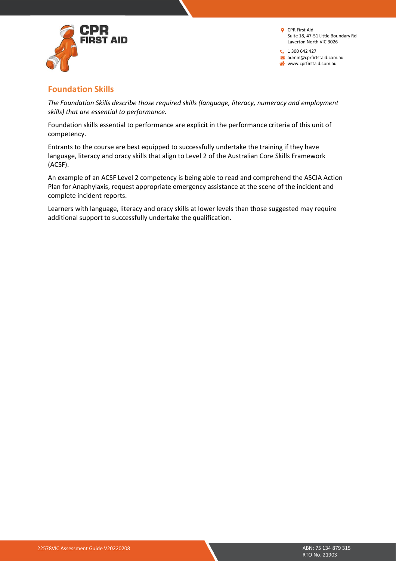

 $1300642427$  $\blacktriangleright$  admin@cprfirtstaid.com.au www.cprfirstaid.com.au

# **Foundation Skills**

*The Foundation Skills describe those required skills (language, literacy, numeracy and employment skills) that are essential to performance.*

Foundation skills essential to performance are explicit in the performance criteria of this unit of competency.

Entrants to the course are best equipped to successfully undertake the training if they have language, literacy and oracy skills that align to Level 2 of the Australian Core Skills Framework (ACSF).

An example of an ACSF Level 2 competency is being able to read and comprehend the ASCIA Action Plan for Anaphylaxis, request appropriate emergency assistance at the scene of the incident and complete incident reports.

Learners with language, literacy and oracy skills at lower levels than those suggested may require additional support to successfully undertake the qualification.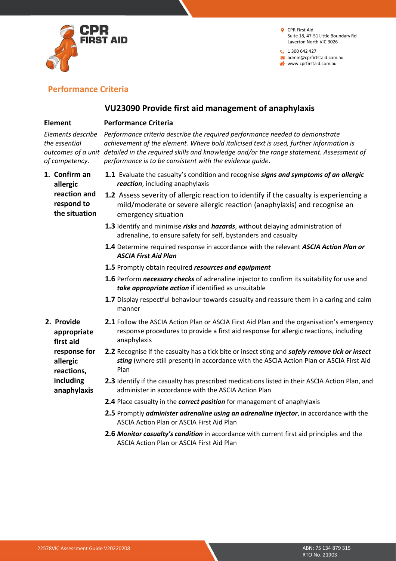

 $1300642427$ admin@cprfirtstaid.com.au www.cprfirstaid.com.au

# **Performance Criteria**

## **VU23090 Provide first aid management of anaphylaxis**

#### **Element**

#### **Performance Criteria**

*the essential of competency.*

*Elements describe Performance criteria describe the required performance needed to demonstrate outcomes of a unit detailed in the required skills and knowledge and/or the range statement. Assessment of achievement of the element. Where bold italicised text is used, further information is performance is to be consistent with the evidence guide.*

- **1. Confirm an allergic reaction and respond to the situation**
- **1.1** Evaluate the casualty's condition and recognise *signs and symptoms of an allergic reaction*, including anaphylaxis
- **1.2** Assess severity of allergic reaction to identify if the casualty is experiencing a mild/moderate or severe allergic reaction (anaphylaxis) and recognise an emergency situation
	- **1.3** Identify and minimise *risks* and *hazards*, without delaying administration of adrenaline, to ensure safety for self, bystanders and casualty
	- **1.4** Determine required response in accordance with the relevant *ASCIA Action Plan or ASCIA First Aid Plan*
	- **1.5** Promptly obtain required *resources and equipment*
	- **1.6** Perform *necessary checks* of adrenaline injector to confirm its suitability for use and *take appropriate action* if identified as unsuitable
	- **1.7** Display respectful behaviour towards casualty and reassure them in a caring and calm manner
- **2. Provide appropriate first aid response for allergic reactions, including anaphylaxis**
	- **2.1** Follow the ASCIA Action Plan or ASCIA First Aid Plan and the organisation's emergency response procedures to provide a first aid response for allergic reactions, including anaphylaxis
	- **2.2** Recognise if the casualty has a tick bite or insect sting and *safely remove tick or insect sting* (where still present) in accordance with the ASCIA Action Plan or ASCIA First Aid Plan
	- **2.3** Identify if the casualty has prescribed medications listed in their ASCIA Action Plan, and administer in accordance with the ASCIA Action Plan
	- **2.4** Place casualty in the *correct position* for management of anaphylaxis
	- **2.5** Promptly *administer adrenaline using an adrenaline injector*, in accordance with the ASCIA Action Plan or ASCIA First Aid Plan
	- **2.6** *Monitor casualty's condition* in accordance with current first aid principles and the ASCIA Action Plan or ASCIA First Aid Plan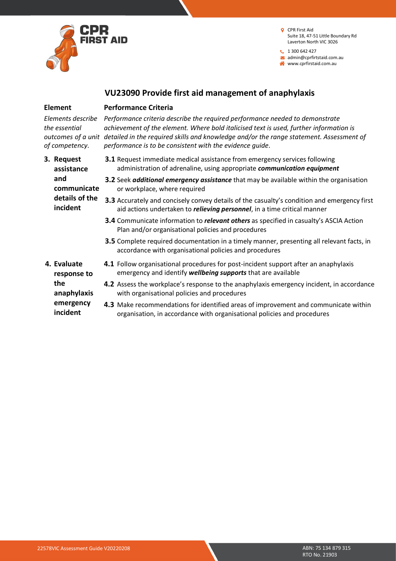

**1** 300 642 427 admin@cprfirtstaid.com.au

www.cprfirstaid.com.au

## **VU23090 Provide first aid management of anaphylaxis**

#### **Element**

#### **Performance Criteria**

*the essential of competency.*

*Elements describe Performance criteria describe the required performance needed to demonstrate outcomes of a unit detailed in the required skills and knowledge and/or the range statement. Assessment of achievement of the element. Where bold italicised text is used, further information is performance is to be consistent with the evidence guide.*

| 3. Request<br>assistance   | <b>3.1</b> Request immediate medical assistance from emergency services following<br>administration of adrenaline, using appropriate communication equipment                           |
|----------------------------|----------------------------------------------------------------------------------------------------------------------------------------------------------------------------------------|
| and<br>communicate         | <b>3.2</b> Seek <i>additional emergency assistance</i> that may be available within the organisation<br>or workplace, where required                                                   |
| details of the<br>incident | <b>3.3</b> Accurately and concisely convey details of the casualty's condition and emergency first<br>aid actions undertaken to <i>relieving personnel</i> , in a time critical manner |
|                            | <b>3.4</b> Communicate information to <i>relevant others</i> as specified in casualty's ASCIA Action<br>Plan and/or organisational policies and procedures                             |
|                            | <b>3.5</b> Complete required documentation in a timely manner, presenting all relevant facts, in<br>accordance with organisational policies and procedures                             |
| 4. Evaluate<br>response to | <b>4.1</b> Follow organisational procedures for post-incident support after an anaphylaxis<br>emergency and identify wellbeing supports that are available                             |
| the<br>anaphylaxis         | 4.2 Assess the workplace's response to the anaphylaxis emergency incident, in accordance<br>with organisational policies and procedures                                                |
| emergency<br>incident      | 4.3 Make recommendations for identified areas of improvement and communicate within<br>organisation, in accordance with organisational policies and procedures                         |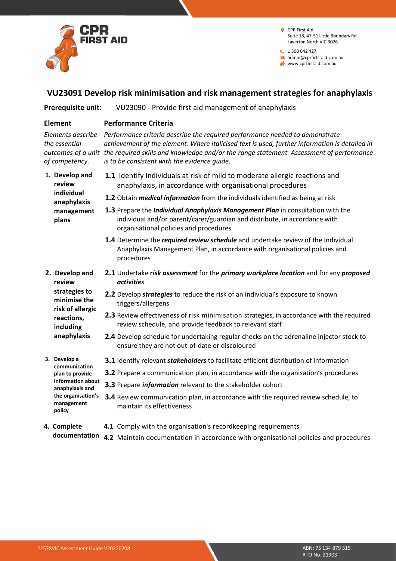

**t** 1 300 642 427 admin@cprfirtstaid.com.au

www.cprfirstaid.com.au

#### **VU23091 Develop risk minimisation and risk management strategies for anaphylaxis**

**Prerequisite unit:** VU23090 - Provide first aid management of anaphylaxis

#### **Element**

#### **Performance Criteria**

*the essential of competency.*

*Elements describe Performance criteria describe the required performance needed to demonstrate outcomes of a unit the required skills and knowledge and/or the range statement. Assessment of performance achievement of the element. Where italicised text is used, further information is detailed in is to be consistent with the evidence guide.*

**1. Develop and review individual anaphylaxis management plans**

**2. Develop and review strategies to minimise the risk of allergic reactions, including anaphylaxis**

- **1.1** Identify individuals at risk of mild to moderate allergic reactions and anaphylaxis, in accordance with organisational procedures
- **1.2** Obtain *medical information* from the individuals identified as being at risk
- **1.3** Prepare the *Individual Anaphylaxis Management Plan* in consultation with the individual and/or parent/carer/guardian and distribute, in accordance with organisational policies and procedures
- **1.4** Determine the *required review schedule* and undertake review of the Individual Anaphylaxis Management Plan, in accordance with organisational policies and procedures
- **2.1** Undertake **r***isk assessment* for the *primary workplace location* and for any *proposed activities*
- **2.2** Develop *strategies* to reduce the risk of an individual's exposure to known triggers/allergens
- **2.3** Review effectiveness of risk minimisation strategies, in accordance with the required review schedule, and provide feedback to relevant staff
- **2.4** Develop schedule for undertaking regular checks on the adrenaline injector stock to ensure they are not out-of-date or discoloured
- **3.1** Identify relevant *stakeholders* to facilitate efficient distribution of information
- **3.2** Prepare a communication plan, in accordance with the organisation's procedures
- **3.3** Prepare *information* relevant to the stakeholder cohort
- **3.4** Review communication plan, in accordance with the required review schedule, to maintain its effectiveness
- **4. Complete documentation 4.2** Maintain documentation in accordance with organisational policies and procedures**4.1** Comply with the organisation's recordkeeping requirements
- **3. Develop a communication plan to provide information about anaphylaxis and the organisation's management**

**policy**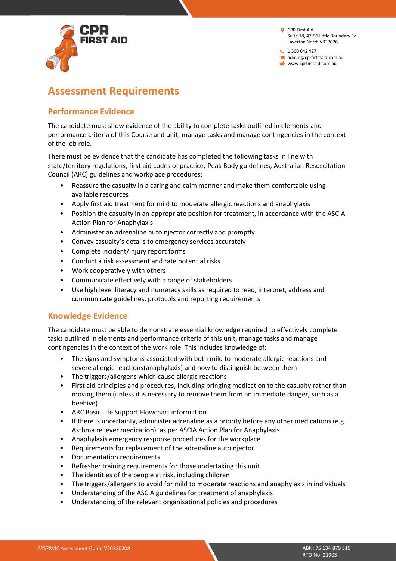

 $1300642427$ admin@cprfirtstaid.com.au www.cprfirstaid.com.au

# **Assessment Requirements**

# **Performance Evidence**

The candidate must show evidence of the ability to complete tasks outlined in elements and performance criteria of this Course and unit, manage tasks and manage contingencies in the context of the job role.

There must be evidence that the candidate has completed the following tasks in line with state/territory regulations, first aid codes of practice, Peak Body guidelines, Australian Resuscitation Council (ARC) guidelines and workplace procedures:

- Reassure the casualty in a caring and calm manner and make them comfortable using available resources
- Apply first aid treatment for mild to moderate allergic reactions and anaphylaxis
- Position the casualty in an appropriate position for treatment, in accordance with the ASCIA Action Plan for Anaphylaxis
- Administer an adrenaline autoinjector correctly and promptly
- Convey casualty's details to emergency services accurately
- Complete incident/injury report forms
- Conduct a risk assessment and rate potential risks
- Work cooperatively with others
- Communicate effectively with a range of stakeholders
- Use high level literacy and numeracy skills as required to read, interpret, address and communicate guidelines, protocols and reporting requirements

# **Knowledge Evidence**

The candidate must be able to demonstrate essential knowledge required to effectively complete tasks outlined in elements and performance criteria of this unit, manage tasks and manage contingencies in the context of the work role. This includes knowledge of:

- The signs and symptoms associated with both mild to moderate allergic reactions and severe allergic reactions(anaphylaxis) and how to distinguish between them
- The triggers/allergens which cause allergic reactions
- First aid principles and procedures, including bringing medication to the casualty rather than moving them (unless it is necessary to remove them from an immediate danger, such as a beehive)
- ARC Basic Life Support Flowchart information
- If there is uncertainty, administer adrenaline as a priority before any other medications (e.g. Asthma reliever medication), as per ASCIA Action Plan for Anaphylaxis
- Anaphylaxis emergency response procedures for the workplace
- Requirements for replacement of the adrenaline autoinjector
- Documentation requirements
- Refresher training requirements for those undertaking this unit
- The identities of the people at risk, including children
- The triggers/allergens to avoid for mild to moderate reactions and anaphylaxis in individuals
- Understanding of the ASCIA guidelines for treatment of anaphylaxis
- Understanding of the relevant organisational policies and procedures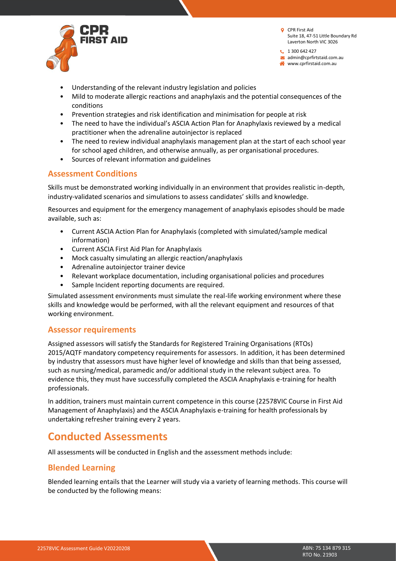

 $1300642427$ admin@cprfirtstaid.com.au www.cprfirstaid.com.au

- Understanding of the relevant industry legislation and policies
- Mild to moderate allergic reactions and anaphylaxis and the potential consequences of the conditions
- Prevention strategies and risk identification and minimisation for people at risk
- The need to have the individual's ASCIA Action Plan for Anaphylaxis reviewed by a medical practitioner when the adrenaline autoinjector is replaced
- The need to review individual anaphylaxis management plan at the start of each school year for school aged children, and otherwise annually, as per organisational procedures.
- Sources of relevant information and guidelines

#### **Assessment Conditions**

Skills must be demonstrated working individually in an environment that provides realistic in-depth, industry-validated scenarios and simulations to assess candidates' skills and knowledge.

Resources and equipment for the emergency management of anaphylaxis episodes should be made available, such as:

- Current ASCIA Action Plan for Anaphylaxis (completed with simulated/sample medical information)
- Current ASCIA First Aid Plan for Anaphylaxis
- Mock casualty simulating an allergic reaction/anaphylaxis
- Adrenaline autoinjector trainer device
- Relevant workplace documentation, including organisational policies and procedures
- Sample Incident reporting documents are required.

Simulated assessment environments must simulate the real-life working environment where these skills and knowledge would be performed, with all the relevant equipment and resources of that working environment.

#### **Assessor requirements**

Assigned assessors will satisfy the Standards for Registered Training Organisations (RTOs) 2015/AQTF mandatory competency requirements for assessors. In addition, it has been determined by industry that assessors must have higher level of knowledge and skills than that being assessed, such as nursing/medical, paramedic and/or additional study in the relevant subject area. To evidence this, they must have successfully completed the ASCIA Anaphylaxis e-training for health professionals.

In addition, trainers must maintain current competence in this course (22578VIC Course in First Aid Management of Anaphylaxis) and the ASCIA Anaphylaxis e-training for health professionals by undertaking refresher training every 2 years.

# **Conducted Assessments**

All assessments will be conducted in English and the assessment methods include:

#### **Blended Learning**

Blended learning entails that the Learner will study via a variety of learning methods. This course will be conducted by the following means: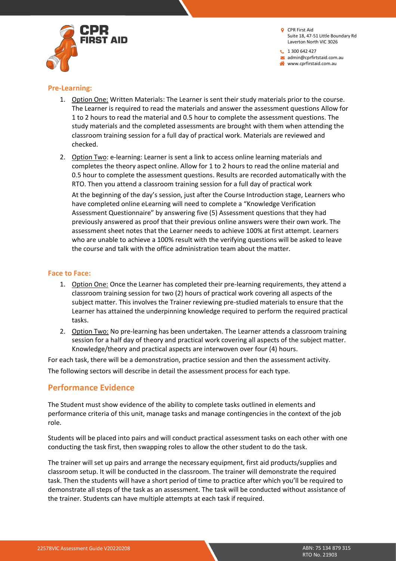$1300642427$ admin@cprfirtstaid.com.au www.cprfirstaid.com.au



#### **Pre-Learning:**

- 1. Option One: Written Materials: The Learner is sent their study materials prior to the course. The Learner is required to read the materials and answer the assessment questions Allow for 1 to 2 hours to read the material and 0.5 hour to complete the assessment questions. The study materials and the completed assessments are brought with them when attending the classroom training session for a full day of practical work. Materials are reviewed and checked.
- 2. Option Two: e-learning: Learner is sent a link to access online learning materials and completes the theory aspect online. Allow for 1 to 2 hours to read the online material and 0.5 hour to complete the assessment questions. Results are recorded automatically with the RTO. Then you attend a classroom training session for a full day of practical work

At the beginning of the day's session, just after the Course Introduction stage, Learners who have completed online eLearning will need to complete a "Knowledge Verification Assessment Questionnaire" by answering five (5) Assessment questions that they had previously answered as proof that their previous online answers were their own work. The assessment sheet notes that the Learner needs to achieve 100% at first attempt. Learners who are unable to achieve a 100% result with the verifying questions will be asked to leave the course and talk with the office administration team about the matter.

#### **Face to Face:**

- 1. Option One: Once the Learner has completed their pre-learning requirements, they attend a classroom training session for two (2) hours of practical work covering all aspects of the subject matter. This involves the Trainer reviewing pre-studied materials to ensure that the Learner has attained the underpinning knowledge required to perform the required practical tasks.
- 2. Option Two: No pre-learning has been undertaken. The Learner attends a classroom training session for a half day of theory and practical work covering all aspects of the subject matter. Knowledge/theory and practical aspects are interwoven over four (4) hours.

For each task, there will be a demonstration, practice session and then the assessment activity. The following sectors will describe in detail the assessment process for each type.

# **Performance Evidence**

The Student must show evidence of the ability to complete tasks outlined in elements and performance criteria of this unit, manage tasks and manage contingencies in the context of the job role.

Students will be placed into pairs and will conduct practical assessment tasks on each other with one conducting the task first, then swapping roles to allow the other student to do the task.

The trainer will set up pairs and arrange the necessary equipment, first aid products/supplies and classroom setup. It will be conducted in the classroom. The trainer will demonstrate the required task. Then the students will have a short period of time to practice after which you'll be required to demonstrate all steps of the task as an assessment. The task will be conducted without assistance of the trainer. Students can have multiple attempts at each task if required.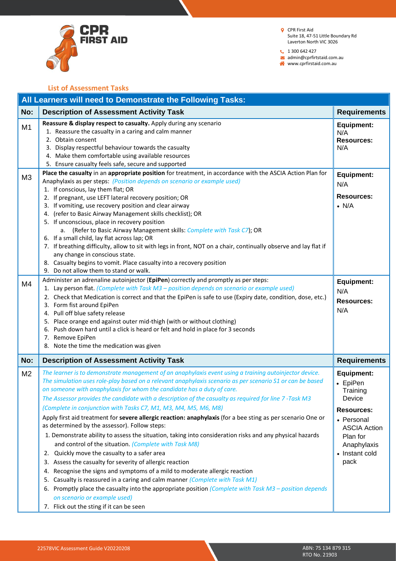

 $1300642427$ 

admin@cprfirtstaid.com.au www.cprfirstaid.com.au

**List of Assessment Tasks**

|                                  | All Learners will need to Demonstrate the Following Tasks:                                                                                                                                                                                                                                                                                                                                                                                                                                                                                                                                                                                                                                                                                                                                                                                                                                                                                                                                                                                                                                                                                                                                                                                                                                                                                                                                                                     |                                                                                                                                                                    |  |
|----------------------------------|--------------------------------------------------------------------------------------------------------------------------------------------------------------------------------------------------------------------------------------------------------------------------------------------------------------------------------------------------------------------------------------------------------------------------------------------------------------------------------------------------------------------------------------------------------------------------------------------------------------------------------------------------------------------------------------------------------------------------------------------------------------------------------------------------------------------------------------------------------------------------------------------------------------------------------------------------------------------------------------------------------------------------------------------------------------------------------------------------------------------------------------------------------------------------------------------------------------------------------------------------------------------------------------------------------------------------------------------------------------------------------------------------------------------------------|--------------------------------------------------------------------------------------------------------------------------------------------------------------------|--|
| No:                              | <b>Description of Assessment Activity Task</b>                                                                                                                                                                                                                                                                                                                                                                                                                                                                                                                                                                                                                                                                                                                                                                                                                                                                                                                                                                                                                                                                                                                                                                                                                                                                                                                                                                                 | <b>Requirements</b>                                                                                                                                                |  |
| M1                               | Reassure & display respect to casualty. Apply during any scenario<br>1. Reassure the casualty in a caring and calm manner<br>2. Obtain consent<br>3. Display respectful behaviour towards the casualty<br>4. Make them comfortable using available resources<br>5. Ensure casualty feels safe, secure and supported                                                                                                                                                                                                                                                                                                                                                                                                                                                                                                                                                                                                                                                                                                                                                                                                                                                                                                                                                                                                                                                                                                            | <b>Equipment:</b><br>N/A<br><b>Resources:</b><br>N/A                                                                                                               |  |
| M <sub>3</sub><br>M <sub>4</sub> | Place the casualty in an appropriate position for treatment, in accordance with the ASCIA Action Plan for<br>Anaphylaxis as per steps: (Position depends on scenario or example used)<br>1. If conscious, lay them flat; OR<br>2. If pregnant, use LEFT lateral recovery position; OR<br>3. If vomiting, use recovery position and clear airway<br>(refer to Basic Airway Management skills checklist); OR<br>4.<br>5. If unconscious, place in recovery position<br>a. (Refer to Basic Airway Management skills: Complete with Task C7); OR<br>6. If a small child, lay flat across lap; OR<br>7. If breathing difficulty, allow to sit with legs in front, NOT on a chair, continually observe and lay flat if<br>any change in conscious state.<br>8. Casualty begins to vomit. Place casualty into a recovery position<br>9. Do not allow them to stand or walk.<br>Administer an adrenaline autoinjector (EpiPen) correctly and promptly as per steps:<br>1. Lay person flat. (Complete with Task M3 - position depends on scenario or example used)<br>2. Check that Medication is correct and that the EpiPen is safe to use (Expiry date, condition, dose, etc.)<br>3. Form fist around EpiPen<br>4. Pull off blue safety release<br>5. Place orange end against outer mid-thigh (with or without clothing)<br>Push down hard until a click is heard or felt and hold in place for 3 seconds<br>6.<br>7. Remove EpiPen | <b>Equipment:</b><br>N/A<br><b>Resources:</b><br>$\bullet$ N/A<br><b>Equipment:</b><br>N/A<br><b>Resources:</b><br>N/A                                             |  |
|                                  | 8. Note the time the medication was given                                                                                                                                                                                                                                                                                                                                                                                                                                                                                                                                                                                                                                                                                                                                                                                                                                                                                                                                                                                                                                                                                                                                                                                                                                                                                                                                                                                      |                                                                                                                                                                    |  |
| No:                              | <b>Description of Assessment Activity Task</b>                                                                                                                                                                                                                                                                                                                                                                                                                                                                                                                                                                                                                                                                                                                                                                                                                                                                                                                                                                                                                                                                                                                                                                                                                                                                                                                                                                                 | <b>Requirements</b>                                                                                                                                                |  |
| M <sub>2</sub>                   | The learner is to demonstrate management of an anaphylaxis event using a training autoinjector device.<br>The simulation uses role-play based on a relevant anaphylaxis scenario as per scenario S1 or can be based<br>on someone with anaphylaxis for whom the candidate has a duty of care.<br>The Assessor provides the candidate with a description of the casualty as required for line 7-Task M3<br>(Complete in conjunction with Tasks C7, M1, M3, M4, M5, M6, M8)<br>Apply first aid treatment for severe allergic reaction: anaphylaxis (for a bee sting as per scenario One or<br>as determined by the assessor). Follow steps:<br>1. Demonstrate ability to assess the situation, taking into consideration risks and any physical hazards<br>and control of the situation. (Complete with Task M8)<br>Quickly move the casualty to a safer area<br>2.<br>3. Assess the casualty for severity of allergic reaction<br>Recognise the signs and symptoms of a mild to moderate allergic reaction<br>4.<br>Casualty is reassured in a caring and calm manner (Complete with Task M1)<br>5.<br>6. Promptly place the casualty into the appropriate position (Complete with Task M3 - position depends<br>on scenario or example used)<br>7. Flick out the sting if it can be seen                                                                                                                                       | <b>Equipment:</b><br>• EpiPen<br>Training<br>Device<br><b>Resources:</b><br>• Personal<br><b>ASCIA Action</b><br>Plan for<br>Anaphylaxis<br>• Instant cold<br>pack |  |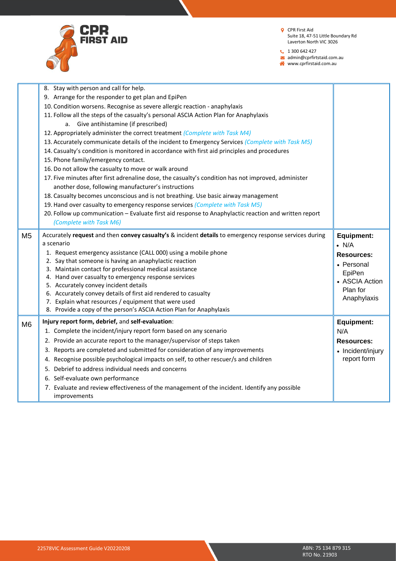

 $1300642427$ 

admin@cprfirtstaid.com.au

www.cprfirstaid.com.au

| 9. Arrange for the responder to get plan and EpiPen<br>10. Condition worsens. Recognise as severe allergic reaction - anaphylaxis<br>11. Follow all the steps of the casualty's personal ASCIA Action Plan for Anaphylaxis<br>a. Give antihistamine (if prescribed)<br>12. Appropriately administer the correct treatment (Complete with Task M4)<br>13. Accurately communicate details of the incident to Emergency Services (Complete with Task M5)<br>14. Casualty's condition is monitored in accordance with first aid principles and procedures<br>15. Phone family/emergency contact.<br>16. Do not allow the casualty to move or walk around<br>17. Five minutes after first adrenaline dose, the casualty's condition has not improved, administer<br>another dose, following manufacturer's instructions<br>18. Casualty becomes unconscious and is not breathing. Use basic airway management<br>19. Hand over casualty to emergency response services (Complete with Task M5)<br>20. Follow up communication - Evaluate first aid response to Anaphylactic reaction and written report<br>(Complete with Task M6)<br>Accurately request and then convey casualty's & incident details to emergency response services during<br>M <sub>5</sub><br><b>Equipment:</b><br>a scenario<br>$\bullet$ N/A<br>1. Request emergency assistance (CALL 000) using a mobile phone<br><b>Resources:</b><br>2. Say that someone is having an anaphylactic reaction<br>• Personal<br>3. Maintain contact for professional medical assistance<br>EpiPen<br>4. Hand over casualty to emergency response services<br>• ASCIA Action<br>5. Accurately convey incident details<br>Plan for<br>6. Accurately convey details of first aid rendered to casualty<br>Anaphylaxis<br>7. Explain what resources / equipment that were used<br>8. Provide a copy of the person's ASCIA Action Plan for Anaphylaxis<br>Injury report form, debrief, and self-evaluation:<br><b>Equipment:</b><br>M6<br>1. Complete the incident/injury report form based on any scenario<br>N/A<br>2. Provide an accurate report to the manager/supervisor of steps taken<br><b>Resources:</b><br>3. Reports are completed and submitted for consideration of any improvements<br>• Incident/injury<br>report form<br>4. Recognise possible psychological impacts on self, to other rescuer/s and children<br>5. Debrief to address individual needs and concerns<br>6. Self-evaluate own performance<br>7. Evaluate and review effectiveness of the management of the incident. Identify any possible<br>improvements | 8. Stay with person and call for help. |  |
|--------------------------------------------------------------------------------------------------------------------------------------------------------------------------------------------------------------------------------------------------------------------------------------------------------------------------------------------------------------------------------------------------------------------------------------------------------------------------------------------------------------------------------------------------------------------------------------------------------------------------------------------------------------------------------------------------------------------------------------------------------------------------------------------------------------------------------------------------------------------------------------------------------------------------------------------------------------------------------------------------------------------------------------------------------------------------------------------------------------------------------------------------------------------------------------------------------------------------------------------------------------------------------------------------------------------------------------------------------------------------------------------------------------------------------------------------------------------------------------------------------------------------------------------------------------------------------------------------------------------------------------------------------------------------------------------------------------------------------------------------------------------------------------------------------------------------------------------------------------------------------------------------------------------------------------------------------------------------------------------------------------------------------------------------------------------------------------------------------------------------------------------------------------------------------------------------------------------------------------------------------------------------------------------------------------------------------------------------------------------------------------------------------------------------------------------------------------------------------------------------------------------------------------------------------------------------------------|----------------------------------------|--|
|                                                                                                                                                                                                                                                                                                                                                                                                                                                                                                                                                                                                                                                                                                                                                                                                                                                                                                                                                                                                                                                                                                                                                                                                                                                                                                                                                                                                                                                                                                                                                                                                                                                                                                                                                                                                                                                                                                                                                                                                                                                                                                                                                                                                                                                                                                                                                                                                                                                                                                                                                                                      |                                        |  |
|                                                                                                                                                                                                                                                                                                                                                                                                                                                                                                                                                                                                                                                                                                                                                                                                                                                                                                                                                                                                                                                                                                                                                                                                                                                                                                                                                                                                                                                                                                                                                                                                                                                                                                                                                                                                                                                                                                                                                                                                                                                                                                                                                                                                                                                                                                                                                                                                                                                                                                                                                                                      |                                        |  |
|                                                                                                                                                                                                                                                                                                                                                                                                                                                                                                                                                                                                                                                                                                                                                                                                                                                                                                                                                                                                                                                                                                                                                                                                                                                                                                                                                                                                                                                                                                                                                                                                                                                                                                                                                                                                                                                                                                                                                                                                                                                                                                                                                                                                                                                                                                                                                                                                                                                                                                                                                                                      |                                        |  |
|                                                                                                                                                                                                                                                                                                                                                                                                                                                                                                                                                                                                                                                                                                                                                                                                                                                                                                                                                                                                                                                                                                                                                                                                                                                                                                                                                                                                                                                                                                                                                                                                                                                                                                                                                                                                                                                                                                                                                                                                                                                                                                                                                                                                                                                                                                                                                                                                                                                                                                                                                                                      |                                        |  |
|                                                                                                                                                                                                                                                                                                                                                                                                                                                                                                                                                                                                                                                                                                                                                                                                                                                                                                                                                                                                                                                                                                                                                                                                                                                                                                                                                                                                                                                                                                                                                                                                                                                                                                                                                                                                                                                                                                                                                                                                                                                                                                                                                                                                                                                                                                                                                                                                                                                                                                                                                                                      |                                        |  |
|                                                                                                                                                                                                                                                                                                                                                                                                                                                                                                                                                                                                                                                                                                                                                                                                                                                                                                                                                                                                                                                                                                                                                                                                                                                                                                                                                                                                                                                                                                                                                                                                                                                                                                                                                                                                                                                                                                                                                                                                                                                                                                                                                                                                                                                                                                                                                                                                                                                                                                                                                                                      |                                        |  |
|                                                                                                                                                                                                                                                                                                                                                                                                                                                                                                                                                                                                                                                                                                                                                                                                                                                                                                                                                                                                                                                                                                                                                                                                                                                                                                                                                                                                                                                                                                                                                                                                                                                                                                                                                                                                                                                                                                                                                                                                                                                                                                                                                                                                                                                                                                                                                                                                                                                                                                                                                                                      |                                        |  |
|                                                                                                                                                                                                                                                                                                                                                                                                                                                                                                                                                                                                                                                                                                                                                                                                                                                                                                                                                                                                                                                                                                                                                                                                                                                                                                                                                                                                                                                                                                                                                                                                                                                                                                                                                                                                                                                                                                                                                                                                                                                                                                                                                                                                                                                                                                                                                                                                                                                                                                                                                                                      |                                        |  |
|                                                                                                                                                                                                                                                                                                                                                                                                                                                                                                                                                                                                                                                                                                                                                                                                                                                                                                                                                                                                                                                                                                                                                                                                                                                                                                                                                                                                                                                                                                                                                                                                                                                                                                                                                                                                                                                                                                                                                                                                                                                                                                                                                                                                                                                                                                                                                                                                                                                                                                                                                                                      |                                        |  |
|                                                                                                                                                                                                                                                                                                                                                                                                                                                                                                                                                                                                                                                                                                                                                                                                                                                                                                                                                                                                                                                                                                                                                                                                                                                                                                                                                                                                                                                                                                                                                                                                                                                                                                                                                                                                                                                                                                                                                                                                                                                                                                                                                                                                                                                                                                                                                                                                                                                                                                                                                                                      |                                        |  |
|                                                                                                                                                                                                                                                                                                                                                                                                                                                                                                                                                                                                                                                                                                                                                                                                                                                                                                                                                                                                                                                                                                                                                                                                                                                                                                                                                                                                                                                                                                                                                                                                                                                                                                                                                                                                                                                                                                                                                                                                                                                                                                                                                                                                                                                                                                                                                                                                                                                                                                                                                                                      |                                        |  |
|                                                                                                                                                                                                                                                                                                                                                                                                                                                                                                                                                                                                                                                                                                                                                                                                                                                                                                                                                                                                                                                                                                                                                                                                                                                                                                                                                                                                                                                                                                                                                                                                                                                                                                                                                                                                                                                                                                                                                                                                                                                                                                                                                                                                                                                                                                                                                                                                                                                                                                                                                                                      |                                        |  |
|                                                                                                                                                                                                                                                                                                                                                                                                                                                                                                                                                                                                                                                                                                                                                                                                                                                                                                                                                                                                                                                                                                                                                                                                                                                                                                                                                                                                                                                                                                                                                                                                                                                                                                                                                                                                                                                                                                                                                                                                                                                                                                                                                                                                                                                                                                                                                                                                                                                                                                                                                                                      |                                        |  |
|                                                                                                                                                                                                                                                                                                                                                                                                                                                                                                                                                                                                                                                                                                                                                                                                                                                                                                                                                                                                                                                                                                                                                                                                                                                                                                                                                                                                                                                                                                                                                                                                                                                                                                                                                                                                                                                                                                                                                                                                                                                                                                                                                                                                                                                                                                                                                                                                                                                                                                                                                                                      |                                        |  |
|                                                                                                                                                                                                                                                                                                                                                                                                                                                                                                                                                                                                                                                                                                                                                                                                                                                                                                                                                                                                                                                                                                                                                                                                                                                                                                                                                                                                                                                                                                                                                                                                                                                                                                                                                                                                                                                                                                                                                                                                                                                                                                                                                                                                                                                                                                                                                                                                                                                                                                                                                                                      |                                        |  |
|                                                                                                                                                                                                                                                                                                                                                                                                                                                                                                                                                                                                                                                                                                                                                                                                                                                                                                                                                                                                                                                                                                                                                                                                                                                                                                                                                                                                                                                                                                                                                                                                                                                                                                                                                                                                                                                                                                                                                                                                                                                                                                                                                                                                                                                                                                                                                                                                                                                                                                                                                                                      |                                        |  |
|                                                                                                                                                                                                                                                                                                                                                                                                                                                                                                                                                                                                                                                                                                                                                                                                                                                                                                                                                                                                                                                                                                                                                                                                                                                                                                                                                                                                                                                                                                                                                                                                                                                                                                                                                                                                                                                                                                                                                                                                                                                                                                                                                                                                                                                                                                                                                                                                                                                                                                                                                                                      |                                        |  |
|                                                                                                                                                                                                                                                                                                                                                                                                                                                                                                                                                                                                                                                                                                                                                                                                                                                                                                                                                                                                                                                                                                                                                                                                                                                                                                                                                                                                                                                                                                                                                                                                                                                                                                                                                                                                                                                                                                                                                                                                                                                                                                                                                                                                                                                                                                                                                                                                                                                                                                                                                                                      |                                        |  |
|                                                                                                                                                                                                                                                                                                                                                                                                                                                                                                                                                                                                                                                                                                                                                                                                                                                                                                                                                                                                                                                                                                                                                                                                                                                                                                                                                                                                                                                                                                                                                                                                                                                                                                                                                                                                                                                                                                                                                                                                                                                                                                                                                                                                                                                                                                                                                                                                                                                                                                                                                                                      |                                        |  |
|                                                                                                                                                                                                                                                                                                                                                                                                                                                                                                                                                                                                                                                                                                                                                                                                                                                                                                                                                                                                                                                                                                                                                                                                                                                                                                                                                                                                                                                                                                                                                                                                                                                                                                                                                                                                                                                                                                                                                                                                                                                                                                                                                                                                                                                                                                                                                                                                                                                                                                                                                                                      |                                        |  |
|                                                                                                                                                                                                                                                                                                                                                                                                                                                                                                                                                                                                                                                                                                                                                                                                                                                                                                                                                                                                                                                                                                                                                                                                                                                                                                                                                                                                                                                                                                                                                                                                                                                                                                                                                                                                                                                                                                                                                                                                                                                                                                                                                                                                                                                                                                                                                                                                                                                                                                                                                                                      |                                        |  |
|                                                                                                                                                                                                                                                                                                                                                                                                                                                                                                                                                                                                                                                                                                                                                                                                                                                                                                                                                                                                                                                                                                                                                                                                                                                                                                                                                                                                                                                                                                                                                                                                                                                                                                                                                                                                                                                                                                                                                                                                                                                                                                                                                                                                                                                                                                                                                                                                                                                                                                                                                                                      |                                        |  |
|                                                                                                                                                                                                                                                                                                                                                                                                                                                                                                                                                                                                                                                                                                                                                                                                                                                                                                                                                                                                                                                                                                                                                                                                                                                                                                                                                                                                                                                                                                                                                                                                                                                                                                                                                                                                                                                                                                                                                                                                                                                                                                                                                                                                                                                                                                                                                                                                                                                                                                                                                                                      |                                        |  |
|                                                                                                                                                                                                                                                                                                                                                                                                                                                                                                                                                                                                                                                                                                                                                                                                                                                                                                                                                                                                                                                                                                                                                                                                                                                                                                                                                                                                                                                                                                                                                                                                                                                                                                                                                                                                                                                                                                                                                                                                                                                                                                                                                                                                                                                                                                                                                                                                                                                                                                                                                                                      |                                        |  |
|                                                                                                                                                                                                                                                                                                                                                                                                                                                                                                                                                                                                                                                                                                                                                                                                                                                                                                                                                                                                                                                                                                                                                                                                                                                                                                                                                                                                                                                                                                                                                                                                                                                                                                                                                                                                                                                                                                                                                                                                                                                                                                                                                                                                                                                                                                                                                                                                                                                                                                                                                                                      |                                        |  |
|                                                                                                                                                                                                                                                                                                                                                                                                                                                                                                                                                                                                                                                                                                                                                                                                                                                                                                                                                                                                                                                                                                                                                                                                                                                                                                                                                                                                                                                                                                                                                                                                                                                                                                                                                                                                                                                                                                                                                                                                                                                                                                                                                                                                                                                                                                                                                                                                                                                                                                                                                                                      |                                        |  |
|                                                                                                                                                                                                                                                                                                                                                                                                                                                                                                                                                                                                                                                                                                                                                                                                                                                                                                                                                                                                                                                                                                                                                                                                                                                                                                                                                                                                                                                                                                                                                                                                                                                                                                                                                                                                                                                                                                                                                                                                                                                                                                                                                                                                                                                                                                                                                                                                                                                                                                                                                                                      |                                        |  |
|                                                                                                                                                                                                                                                                                                                                                                                                                                                                                                                                                                                                                                                                                                                                                                                                                                                                                                                                                                                                                                                                                                                                                                                                                                                                                                                                                                                                                                                                                                                                                                                                                                                                                                                                                                                                                                                                                                                                                                                                                                                                                                                                                                                                                                                                                                                                                                                                                                                                                                                                                                                      |                                        |  |
|                                                                                                                                                                                                                                                                                                                                                                                                                                                                                                                                                                                                                                                                                                                                                                                                                                                                                                                                                                                                                                                                                                                                                                                                                                                                                                                                                                                                                                                                                                                                                                                                                                                                                                                                                                                                                                                                                                                                                                                                                                                                                                                                                                                                                                                                                                                                                                                                                                                                                                                                                                                      |                                        |  |
|                                                                                                                                                                                                                                                                                                                                                                                                                                                                                                                                                                                                                                                                                                                                                                                                                                                                                                                                                                                                                                                                                                                                                                                                                                                                                                                                                                                                                                                                                                                                                                                                                                                                                                                                                                                                                                                                                                                                                                                                                                                                                                                                                                                                                                                                                                                                                                                                                                                                                                                                                                                      |                                        |  |
|                                                                                                                                                                                                                                                                                                                                                                                                                                                                                                                                                                                                                                                                                                                                                                                                                                                                                                                                                                                                                                                                                                                                                                                                                                                                                                                                                                                                                                                                                                                                                                                                                                                                                                                                                                                                                                                                                                                                                                                                                                                                                                                                                                                                                                                                                                                                                                                                                                                                                                                                                                                      |                                        |  |
|                                                                                                                                                                                                                                                                                                                                                                                                                                                                                                                                                                                                                                                                                                                                                                                                                                                                                                                                                                                                                                                                                                                                                                                                                                                                                                                                                                                                                                                                                                                                                                                                                                                                                                                                                                                                                                                                                                                                                                                                                                                                                                                                                                                                                                                                                                                                                                                                                                                                                                                                                                                      |                                        |  |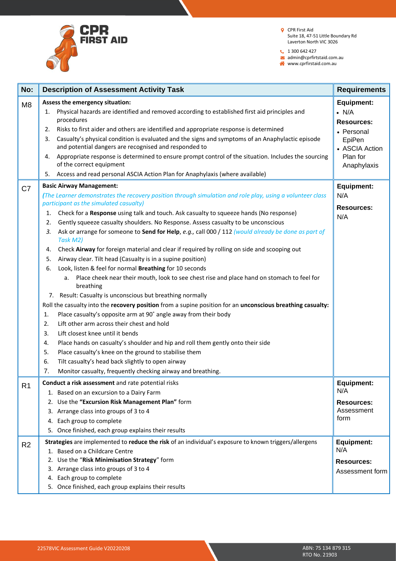

 $1300642427$ 

admin@cprfirtstaid.com.au www.cprfirstaid.com.au

| No:                              | <b>Description of Assessment Activity Task</b>                                                                                                                                                                                                                                                                                                                                                                                                                                                                                                                                                                                                                                                                                                                                                                                                                                                                                                                                                                                                                                                                                                                                                                                                                                                                                                                                                                                                                                                                                                                                                                                                                                                                                                                                                                                                                                      | <b>Requirements</b>                                                                                                                                                                  |
|----------------------------------|-------------------------------------------------------------------------------------------------------------------------------------------------------------------------------------------------------------------------------------------------------------------------------------------------------------------------------------------------------------------------------------------------------------------------------------------------------------------------------------------------------------------------------------------------------------------------------------------------------------------------------------------------------------------------------------------------------------------------------------------------------------------------------------------------------------------------------------------------------------------------------------------------------------------------------------------------------------------------------------------------------------------------------------------------------------------------------------------------------------------------------------------------------------------------------------------------------------------------------------------------------------------------------------------------------------------------------------------------------------------------------------------------------------------------------------------------------------------------------------------------------------------------------------------------------------------------------------------------------------------------------------------------------------------------------------------------------------------------------------------------------------------------------------------------------------------------------------------------------------------------------------|--------------------------------------------------------------------------------------------------------------------------------------------------------------------------------------|
| M <sub>8</sub><br>C <sub>7</sub> | Assess the emergency situation:<br>Physical hazards are identified and removed according to established first aid principles and<br>1.<br>procedures<br>Risks to first aider and others are identified and appropriate response is determined<br>2.<br>Casualty's physical condition is evaluated and the signs and symptoms of an Anaphylactic episode<br>3.<br>and potential dangers are recognised and responded to<br>Appropriate response is determined to ensure prompt control of the situation. Includes the sourcing<br>4.<br>of the correct equipment<br>Access and read personal ASCIA Action Plan for Anaphylaxis (where available)<br>5.<br><b>Basic Airway Management:</b><br>(The Learner demonstrates the recovery position through simulation and role play, using a volunteer class<br>participant as the simulated casualty)<br>Check for a Response using talk and touch. Ask casualty to squeeze hands (No response)<br>1.<br>Gently squeeze casualty shoulders. No Response. Assess casualty to be unconscious<br>2.<br>Ask or arrange for someone to Send for Help, e.g., call 000 / 112 (would already be done as part of<br>3.<br>Task M2)<br>Check Airway for foreign material and clear if required by rolling on side and scooping out<br>4.<br>Airway clear. Tilt head (Casualty is in a supine position)<br>5.<br>Look, listen & feel for normal Breathing for 10 seconds<br>6.<br>Place cheek near their mouth, look to see chest rise and place hand on stomach to feel for<br>a.<br>breathing<br>Result: Casualty is unconscious but breathing normally<br>7.<br>Roll the casualty into the recovery position from a supine position for an unconscious breathing casualty:<br>Place casualty's opposite arm at 90° angle away from their body<br>1.<br>Lift other arm across their chest and hold<br>2.<br>Lift closest knee until it bends<br>3. | <b>Equipment:</b><br>$\bullet$ N/A<br><b>Resources:</b><br>• Personal<br>EpiPen<br>• ASCIA Action<br>Plan for<br>Anaphylaxis<br><b>Equipment:</b><br>N/A<br><b>Resources:</b><br>N/A |
| R <sub>1</sub>                   | Place hands on casualty's shoulder and hip and roll them gently onto their side<br>4.<br>5.<br>Place casualty's knee on the ground to stabilise them<br>Tilt casualty's head back slightly to open airway<br>6.<br>7.<br>Monitor casualty, frequently checking airway and breathing.<br>Conduct a risk assessment and rate potential risks                                                                                                                                                                                                                                                                                                                                                                                                                                                                                                                                                                                                                                                                                                                                                                                                                                                                                                                                                                                                                                                                                                                                                                                                                                                                                                                                                                                                                                                                                                                                          | <b>Equipment:</b>                                                                                                                                                                    |
|                                  | 1. Based on an excursion to a Dairy Farm<br>2. Use the "Excursion Risk Management Plan" form<br>3. Arrange class into groups of 3 to 4<br>Each group to complete<br>4.<br>5. Once finished, each group explains their results                                                                                                                                                                                                                                                                                                                                                                                                                                                                                                                                                                                                                                                                                                                                                                                                                                                                                                                                                                                                                                                                                                                                                                                                                                                                                                                                                                                                                                                                                                                                                                                                                                                       | N/A<br><b>Resources:</b><br>Assessment<br>form                                                                                                                                       |
| R <sub>2</sub>                   | Strategies are implemented to reduce the risk of an individual's exposure to known triggers/allergens<br>1. Based on a Childcare Centre<br>Use the "Risk Minimisation Strategy" form<br>2.<br>3. Arrange class into groups of 3 to 4<br>4. Each group to complete<br>5. Once finished, each group explains their results                                                                                                                                                                                                                                                                                                                                                                                                                                                                                                                                                                                                                                                                                                                                                                                                                                                                                                                                                                                                                                                                                                                                                                                                                                                                                                                                                                                                                                                                                                                                                            | Equipment:<br>N/A<br><b>Resources:</b><br>Assessment form                                                                                                                            |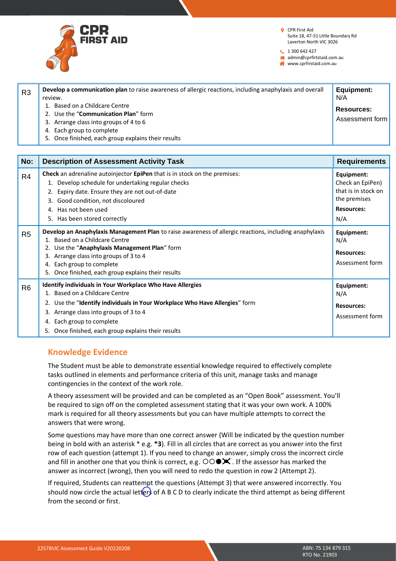

**t** 1 300 642 427

 $\blacktriangleright$  admin@cprfirtstaid.com.au

www.cprfirstaid.com.au

| R <sub>3</sub> | Develop a communication plan to raise awareness of allergic reactions, including anaphylaxis and overall<br>review. | Equipment:<br>N/A                    |
|----------------|---------------------------------------------------------------------------------------------------------------------|--------------------------------------|
|                | Based on a Childcare Centre<br>2. Use the "Communication Plan" form<br>3. Arrange class into groups of 4 to 6       | <b>Resources:</b><br>Assessment form |
|                | 4. Each group to complete<br>Once finished, each group explains their results<br>5.                                 |                                      |

| No:            | <b>Description of Assessment Activity Task</b>                                                                                                                                                                                                                                                                          | <b>Requirements</b>                                                                               |
|----------------|-------------------------------------------------------------------------------------------------------------------------------------------------------------------------------------------------------------------------------------------------------------------------------------------------------------------------|---------------------------------------------------------------------------------------------------|
| R <sub>4</sub> | <b>Check</b> an adrenaline autoinjector <b>EpiPen</b> that is in stock on the premises:<br>1. Develop schedule for undertaking regular checks<br>2. Expiry date. Ensure they are not out-of-date<br>3. Good condition, not discoloured<br>4. Has not been used<br>5. Has been stored correctly                          | Equipment:<br>Check an EpiPen)<br>that is in stock on<br>the premises<br><b>Resources:</b><br>N/A |
| R <sub>5</sub> | Develop an Anaphylaxis Management Plan to raise awareness of allergic reactions, including anaphylaxis<br>1. Based on a Childcare Centre<br>2. Use the "Anaphylaxis Management Plan" form<br>3. Arrange class into groups of 3 to 4<br>4. Each group to complete<br>5. Once finished, each group explains their results | Equipment:<br>N/A<br><b>Resources:</b><br>Assessment form                                         |
| R <sub>6</sub> | <b>Identify individuals in Your Workplace Who Have Allergies</b><br>1. Based on a Childcare Centre<br>2. Use the "Identify individuals in Your Workplace Who Have Allergies" form<br>3. Arrange class into groups of 3 to 4<br>Each group to complete<br>4.<br>5. Once finished, each group explains their results      | Equipment:<br>N/A<br><b>Resources:</b><br>Assessment form                                         |

# **Knowledge Evidence**

The Student must be able to demonstrate essential knowledge required to effectively complete tasks outlined in elements and performance criteria of this unit, manage tasks and manage contingencies in the context of the work role.

A theory assessment will be provided and can be completed as an "Open Book" assessment. You'll be required to sign off on the completed assessment stating that it was your own work. A 100% mark is required for all theory assessments but you can have multiple attempts to correct the answers that were wrong.

Some questions may have more than one correct answer (Will be indicated by the question number being in bold with an asterisk \* e.g. **\*3**). Fill in all circles that are correct as you answer into the first row of each question (attempt 1). If you need to change an answer, simply cross the incorrect circle and fill in another one that you think is correct, e.g.  $\overline{OO} \blacktriangleright \overline{X}$ . If the assessor has marked the answer as incorrect (wrong), then you will need to redo the question in row 2 (Attempt 2).

If required, Students can reattempt the questions (Attempt 3) that were answered incorrectly. You should now circle the actual letters of A B C D to clearly indicate the third attempt as being different from the second or first.